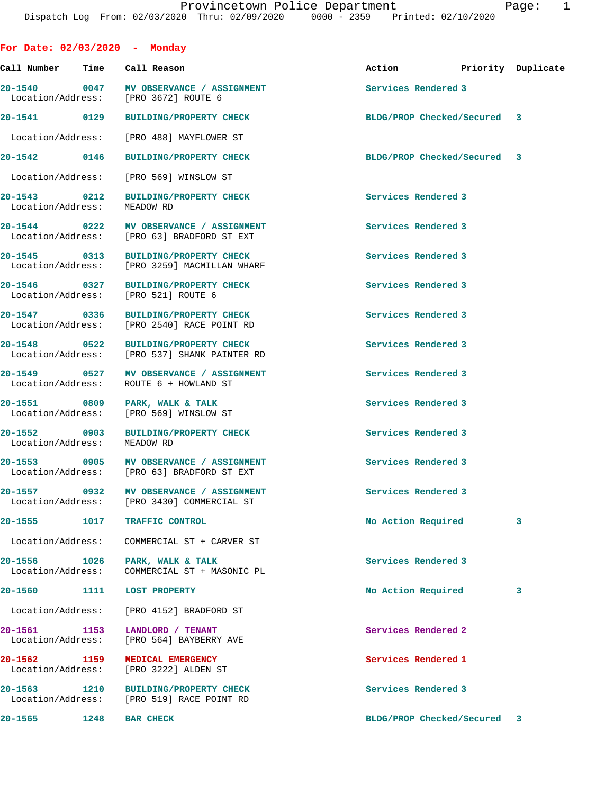| For Date: 02/03/2020 - Monday     |      |                                                                                       |                             |                    |
|-----------------------------------|------|---------------------------------------------------------------------------------------|-----------------------------|--------------------|
| Call Number                       | Time | Call Reason                                                                           | Action                      | Priority Duplicate |
| Location/Address:                 |      | 20-1540 0047 MV OBSERVANCE / ASSIGNMENT<br>[PRO 3672] ROUTE 6                         | Services Rendered 3         |                    |
| 20-1541 0129                      |      | <b>BUILDING/PROPERTY CHECK</b>                                                        | BLDG/PROP Checked/Secured 3 |                    |
| Location/Address:                 |      | [PRO 488] MAYFLOWER ST                                                                |                             |                    |
| 20-1542 0146                      |      | <b>BUILDING/PROPERTY CHECK</b>                                                        | BLDG/PROP Checked/Secured 3 |                    |
| Location/Address:                 |      | [PRO 569] WINSLOW ST                                                                  |                             |                    |
| 20-1543 0212<br>Location/Address: |      | BUILDING/PROPERTY CHECK<br>MEADOW RD                                                  | Services Rendered 3         |                    |
|                                   |      | 20-1544 0222 MV OBSERVANCE / ASSIGNMENT<br>Location/Address: [PRO 63] BRADFORD ST EXT | Services Rendered 3         |                    |
| 20-1545 0313                      |      | BUILDING/PROPERTY CHECK<br>Location/Address: [PRO 3259] MACMILLAN WHARF               | Services Rendered 3         |                    |
|                                   |      | 20-1546 0327 BUILDING/PROPERTY CHECK<br>Location/Address: [PRO 521] ROUTE 6           | Services Rendered 3         |                    |
| 20-1547 0336                      |      | <b>BUILDING/PROPERTY CHECK</b><br>Location/Address: [PRO 2540] RACE POINT RD          | Services Rendered 3         |                    |
|                                   |      | 20-1548 0522 BUILDING/PROPERTY CHECK<br>Location/Address: [PRO 537] SHANK PAINTER RD  | Services Rendered 3         |                    |
| Location/Address:                 |      | 20-1549 0527 MV OBSERVANCE / ASSIGNMENT<br>ROUTE 6 + HOWLAND ST                       | Services Rendered 3         |                    |
| 20-1551 0809                      |      | PARK, WALK & TALK<br>Location/Address: [PRO 569] WINSLOW ST                           | Services Rendered 3         |                    |
| 20-1552 0903<br>Location/Address: |      | <b>BUILDING/PROPERTY CHECK</b><br>MEADOW RD                                           | Services Rendered 3         |                    |
| 20-1553 0905                      |      | <b>MV OBSERVANCE / ASSIGNMENT</b><br>Location/Address: [PRO 63] BRADFORD ST EXT       | Services Rendered 3         |                    |
|                                   |      | 20-1557 0932 MV OBSERVANCE / ASSIGNMENT<br>Location/Address: [PRO 3430] COMMERCIAL ST | Services Rendered 3         |                    |
| $20 - 1555$                       | 1017 | TRAFFIC CONTROL                                                                       | No Action Required          | 3                  |
| Location/Address:                 |      | COMMERCIAL ST + CARVER ST                                                             |                             |                    |
| 20-1556 1026<br>Location/Address: |      | PARK, WALK & TALK<br>COMMERCIAL ST + MASONIC PL                                       | Services Rendered 3         |                    |
| 20-1560                           | 1111 | <b>LOST PROPERTY</b>                                                                  | No Action Required          | 3                  |
| Location/Address:                 |      | [PRO 4152] BRADFORD ST                                                                |                             |                    |
| 20-1561 1153<br>Location/Address: |      | LANDLORD / TENANT<br>[PRO 564] BAYBERRY AVE                                           | Services Rendered 2         |                    |
| 20-1562 1159<br>Location/Address: |      | MEDICAL EMERGENCY<br>[PRO 3222] ALDEN ST                                              | Services Rendered 1         |                    |
| 20-1563 1210                      |      | <b>BUILDING/PROPERTY CHECK</b><br>Location/Address: [PRO 519] RACE POINT RD           | Services Rendered 3         |                    |
| 20-1565                           | 1248 | <b>BAR CHECK</b>                                                                      | BLDG/PROP Checked/Secured 3 |                    |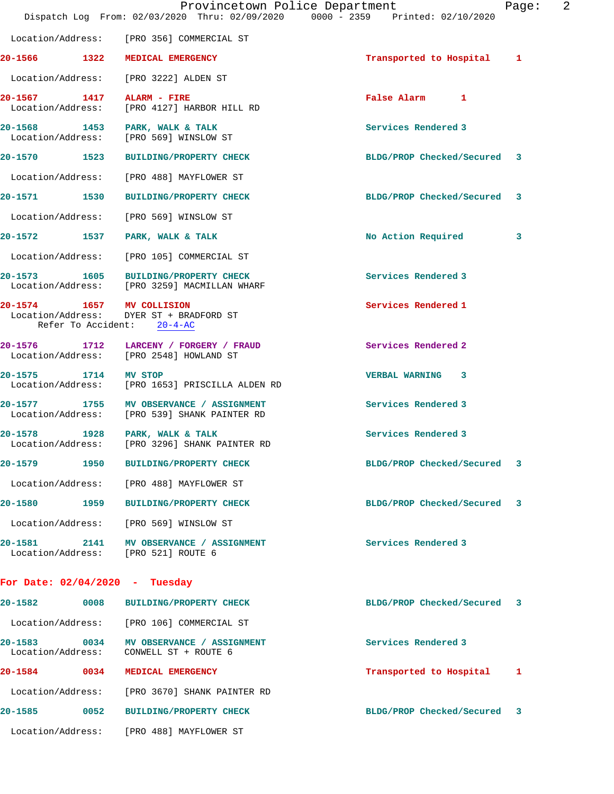|                                   | Provincetown Police Department<br>Dispatch Log From: 02/03/2020 Thru: 02/09/2020 0000 - 2359 Printed: 02/10/2020 |                             | Page: | 2 |
|-----------------------------------|------------------------------------------------------------------------------------------------------------------|-----------------------------|-------|---|
|                                   | Location/Address: [PRO 356] COMMERCIAL ST                                                                        |                             |       |   |
|                                   | 20-1566 1322 MEDICAL EMERGENCY                                                                                   | Transported to Hospital 1   |       |   |
|                                   | Location/Address: [PRO 3222] ALDEN ST                                                                            |                             |       |   |
|                                   | 20-1567 1417 ALARM - FIRE<br>Location/Address: [PRO 4127] HARBOR HILL RD                                         | False Alarm 1               |       |   |
|                                   | 20-1568 1453 PARK, WALK & TALK<br>Location/Address: [PRO 569] WINSLOW ST                                         | Services Rendered 3         |       |   |
|                                   | 20-1570 1523 BUILDING/PROPERTY CHECK                                                                             | BLDG/PROP Checked/Secured 3 |       |   |
|                                   | Location/Address: [PRO 488] MAYFLOWER ST                                                                         |                             |       |   |
|                                   | 20-1571 1530 BUILDING/PROPERTY CHECK                                                                             | BLDG/PROP Checked/Secured 3 |       |   |
|                                   | Location/Address: [PRO 569] WINSLOW ST                                                                           |                             |       |   |
|                                   | 20-1572 1537 PARK, WALK & TALK                                                                                   | No Action Required          | 3     |   |
|                                   | Location/Address: [PRO 105] COMMERCIAL ST                                                                        |                             |       |   |
|                                   | 20-1573 1605 BUILDING/PROPERTY CHECK<br>Location/Address: [PRO 3259] MACMILLAN WHARF                             | Services Rendered 3         |       |   |
|                                   | 20-1574 1657 MV COLLISION<br>Location/Address: DYER ST + BRADFORD ST<br>Refer To Accident: 20-4-AC               | Services Rendered 1         |       |   |
|                                   | 20-1576 1712 LARCENY / FORGERY / FRAUD<br>Location/Address: [PRO 2548] HOWLAND ST                                | Services Rendered 2         |       |   |
| 20-1575 1714 MV STOP              | Location/Address: [PRO 1653] PRISCILLA ALDEN RD                                                                  | <b>VERBAL WARNING 3</b>     |       |   |
|                                   | 20-1577 1755 MV OBSERVANCE / ASSIGNMENT<br>Location/Address: [PRO 539] SHANK PAINTER RD                          | Services Rendered 3         |       |   |
|                                   | 20-1578 1928 PARK, WALK & TALK<br>Location/Address: [PRO 3296] SHANK PAINTER RD                                  | Services Rendered 3         |       |   |
|                                   | 20-1579 1950 BUILDING/PROPERTY CHECK                                                                             | BLDG/PROP Checked/Secured   | 3     |   |
|                                   | Location/Address: [PRO 488] MAYFLOWER ST                                                                         |                             |       |   |
|                                   | 20-1580 1959 BUILDING/PROPERTY CHECK                                                                             | BLDG/PROP Checked/Secured   | 3     |   |
|                                   | Location/Address: [PRO 569] WINSLOW ST                                                                           |                             |       |   |
|                                   | 20-1581 2141 MV OBSERVANCE / ASSIGNMENT<br>Location/Address: [PRO 521] ROUTE 6                                   | Services Rendered 3         |       |   |
|                                   | For Date: $02/04/2020$ - Tuesday                                                                                 |                             |       |   |
| 20-1582 0008                      | BUILDING/PROPERTY CHECK                                                                                          | BLDG/PROP Checked/Secured 3 |       |   |
|                                   | Location/Address: [PRO 106] COMMERCIAL ST                                                                        |                             |       |   |
| 20-1583 0034<br>Location/Address: | MV OBSERVANCE / ASSIGNMENT<br>CONWELL ST + ROUTE 6                                                               | Services Rendered 3         |       |   |
| 20-1584 0034                      | <b>MEDICAL EMERGENCY</b>                                                                                         | Transported to Hospital     | ı     |   |
|                                   | Location/Address: [PRO 3670] SHANK PAINTER RD                                                                    |                             |       |   |
| 20-1585 0052                      | <b>BUILDING/PROPERTY CHECK</b>                                                                                   | BLDG/PROP Checked/Secured 3 |       |   |
| Location/Address:                 | [PRO 488] MAYFLOWER ST                                                                                           |                             |       |   |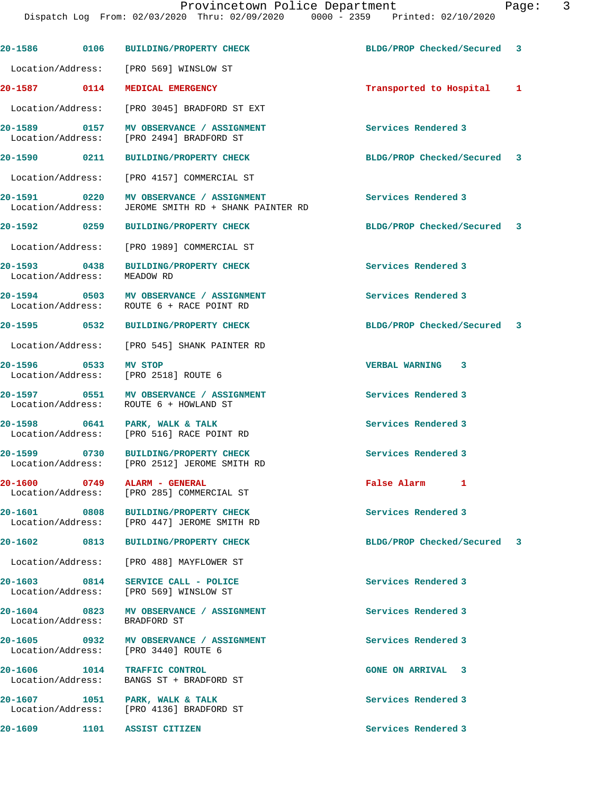|                                   | 20-1586 0106 BUILDING/PROPERTY CHECK                                                 | BLDG/PROP Checked/Secured   | 3 |
|-----------------------------------|--------------------------------------------------------------------------------------|-----------------------------|---|
|                                   | Location/Address: [PRO 569] WINSLOW ST                                               |                             |   |
| 20-1587 0114                      | MEDICAL EMERGENCY                                                                    | Transported to Hospital 1   |   |
| Location/Address:                 | [PRO 3045] BRADFORD ST EXT                                                           |                             |   |
| 20-1589 0157<br>Location/Address: | MV OBSERVANCE / ASSIGNMENT<br>[PRO 2494] BRADFORD ST                                 | Services Rendered 3         |   |
| 20-1590 0211                      | <b>BUILDING/PROPERTY CHECK</b>                                                       | BLDG/PROP Checked/Secured 3 |   |
| Location/Address:                 | [PRO 4157] COMMERCIAL ST                                                             |                             |   |
| 20-1591 0220<br>Location/Address: | MV OBSERVANCE / ASSIGNMENT<br>JEROME SMITH RD + SHANK PAINTER RD                     | Services Rendered 3         |   |
| 20-1592 0259                      | <b>BUILDING/PROPERTY CHECK</b>                                                       | BLDG/PROP Checked/Secured 3 |   |
| Location/Address:                 | [PRO 1989] COMMERCIAL ST                                                             |                             |   |
| 20-1593 0438<br>Location/Address: | <b>BUILDING/PROPERTY CHECK</b><br>MEADOW RD                                          | Services Rendered 3         |   |
| Location/Address:                 | 20-1594 0503 MV OBSERVANCE / ASSIGNMENT<br>ROUTE 6 + RACE POINT RD                   | Services Rendered 3         |   |
| 20-1595 0532                      | BUILDING/PROPERTY CHECK                                                              | BLDG/PROP Checked/Secured 3 |   |
|                                   | Location/Address: [PRO 545] SHANK PAINTER RD                                         |                             |   |
| 20-1596 0533<br>Location/Address: | <b>MV STOP</b><br>[PRO 2518] ROUTE 6                                                 | VERBAL WARNING 3            |   |
|                                   | 20-1597 0551 MV OBSERVANCE / ASSIGNMENT<br>Location/Address: ROUTE 6 + HOWLAND ST    | Services Rendered 3         |   |
| 20-1598 0641<br>Location/Address: | PARK, WALK & TALK<br>[PRO 516] RACE POINT RD                                         | Services Rendered 3         |   |
|                                   | 20-1599 0730 BUILDING/PROPERTY CHECK<br>Location/Address: [PRO 2512] JEROME SMITH RD | Services Rendered 3         |   |
|                                   | 20-1600 0749 ALARM - GENERAL<br>Location/Address: [PRO 285] COMMERCIAL ST            | False Alarm 1               |   |
|                                   | 20-1601 0808 BUILDING/PROPERTY CHECK<br>Location/Address: [PRO 447] JEROME SMITH RD  | Services Rendered 3         |   |
|                                   | 20-1602 0813 BUILDING/PROPERTY CHECK                                                 | BLDG/PROP Checked/Secured 3 |   |
|                                   | Location/Address: [PRO 488] MAYFLOWER ST                                             |                             |   |
|                                   | 20-1603 0814 SERVICE CALL - POLICE<br>Location/Address: [PRO 569] WINSLOW ST         | Services Rendered 3         |   |
| Location/Address:                 | 20-1604 0823 MV OBSERVANCE / ASSIGNMENT<br>BRADFORD ST                               | Services Rendered 3         |   |
|                                   | 20-1605 0932 MV OBSERVANCE / ASSIGNMENT<br>Location/Address: [PRO 3440] ROUTE 6      | Services Rendered 3         |   |
| Location/Address:                 | 20-1606 1014 TRAFFIC CONTROL<br>BANGS ST + BRADFORD ST                               | <b>GONE ON ARRIVAL 3</b>    |   |
| 20-1607                           | 1051 PARK, WALK & TALK<br>Location/Address: [PRO 4136] BRADFORD ST                   | Services Rendered 3         |   |
| 20-1609                           | 1101 ASSIST CITIZEN                                                                  | Services Rendered 3         |   |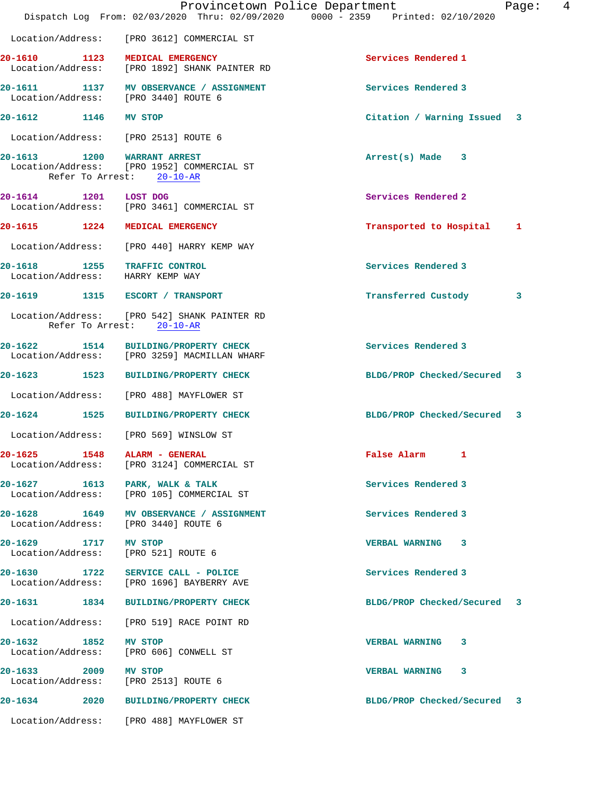|                       |                  | Provincetown Police Department<br>Dispatch Log From: 02/03/2020 Thru: 02/09/2020 0000 - 2359 Printed: 02/10/2020 |                             | 4<br>Page: |
|-----------------------|------------------|------------------------------------------------------------------------------------------------------------------|-----------------------------|------------|
|                       |                  | Location/Address: [PRO 3612] COMMERCIAL ST                                                                       |                             |            |
| 20-1610               |                  | 1123 MEDICAL EMERGENCY<br>Location/Address: [PRO 1892] SHANK PAINTER RD                                          | Services Rendered 1         |            |
|                       |                  | 20-1611 1137 MV OBSERVANCE / ASSIGNMENT<br>Location/Address: [PRO 3440] ROUTE 6                                  | Services Rendered 3         |            |
| 20-1612 1146 MV STOP  |                  |                                                                                                                  | Citation / Warning Issued 3 |            |
|                       |                  | Location/Address: [PRO 2513] ROUTE 6                                                                             |                             |            |
| 20-1613               | Refer To Arrest: | 1200 WARRANT ARREST<br>Location/Address: [PRO 1952] COMMERCIAL ST<br>$20 - 10 - AR$                              | $Arrest(s)$ Made $3$        |            |
| 20-1614 1201 LOST DOG |                  | Location/Address: [PRO 3461] COMMERCIAL ST                                                                       | Services Rendered 2         |            |
|                       |                  | 20-1615 1224 MEDICAL EMERGENCY                                                                                   | Transported to Hospital     | 1          |
| Location/Address:     |                  | [PRO 440] HARRY KEMP WAY                                                                                         |                             |            |
|                       |                  | 20-1618 1255 TRAFFIC CONTROL<br>Location/Address: HARRY KEMP WAY                                                 | Services Rendered 3         |            |
|                       |                  | 20-1619 1315 ESCORT / TRANSPORT                                                                                  | Transferred Custody         | 3          |
|                       | Refer To Arrest: | Location/Address: [PRO 542] SHANK PAINTER RD<br>$20 - 10 - AR$                                                   |                             |            |
| 20-1622               |                  | 1514 BUILDING/PROPERTY CHECK<br>Location/Address: [PRO 3259] MACMILLAN WHARF                                     | Services Rendered 3         |            |
| 20-1623 1523          |                  | <b>BUILDING/PROPERTY CHECK</b>                                                                                   | BLDG/PROP Checked/Secured   | 3          |
| Location/Address:     |                  | [PRO 488] MAYFLOWER ST                                                                                           |                             |            |
| 20-1624<br>1525       |                  | <b>BUILDING/PROPERTY CHECK</b>                                                                                   | BLDG/PROP Checked/Secured 3 |            |
|                       |                  | Location/Address: [PRO 569] WINSLOW ST                                                                           |                             |            |
| $20 - 1625$           | 1548             | ALARM - GENERAL<br>Location/Address: [PRO 3124] COMMERCIAL ST                                                    | False Alarm 1               |            |
|                       |                  | 20-1627 1613 PARK, WALK & TALK<br>Location/Address: [PRO 105] COMMERCIAL ST                                      | Services Rendered 3         |            |
|                       |                  | 20-1628 1649 MV OBSERVANCE / ASSIGNMENT<br>Location/Address: [PRO 3440] ROUTE 6                                  | Services Rendered 3         |            |
| 20-1629 1717 MV STOP  |                  | Location/Address: [PRO 521] ROUTE 6                                                                              | VERBAL WARNING 3            |            |
|                       |                  | 20-1630 1722 SERVICE CALL - POLICE<br>Location/Address: [PRO 1696] BAYBERRY AVE                                  | Services Rendered 3         |            |
| 20-1631 1834          |                  | <b>BUILDING/PROPERTY CHECK</b>                                                                                   | BLDG/PROP Checked/Secured 3 |            |
| Location/Address:     |                  | [PRO 519] RACE POINT RD                                                                                          |                             |            |
| 20-1632 1852 MV STOP  |                  | Location/Address: [PRO 606] CONWELL ST                                                                           | VERBAL WARNING 3            |            |
| 20-1633 2009 MV STOP  |                  | Location/Address: [PRO 2513] ROUTE 6                                                                             | VERBAL WARNING 3            |            |
|                       |                  | 20-1634 2020 BUILDING/PROPERTY CHECK                                                                             | BLDG/PROP Checked/Secured 3 |            |
|                       |                  | Location/Address: [PRO 488] MAYFLOWER ST                                                                         |                             |            |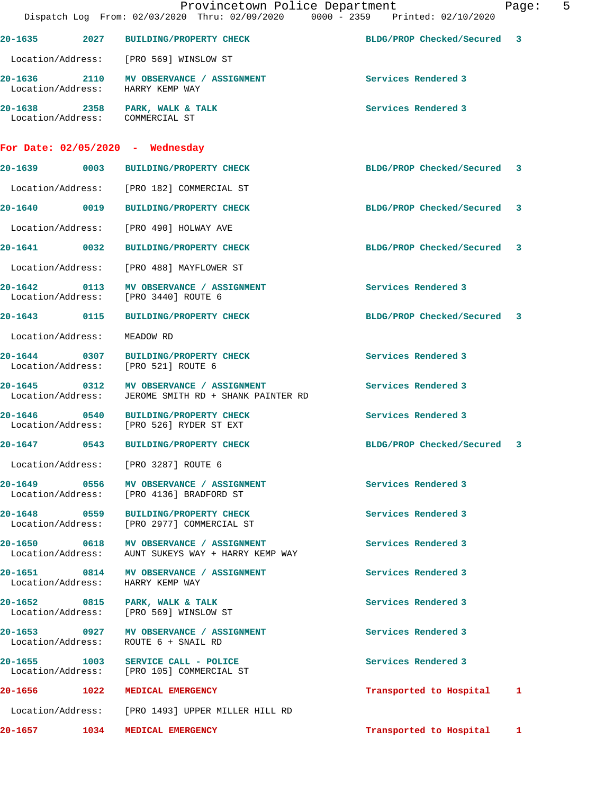|                                 |      | Provincetown Police Department<br>Dispatch Log From: 02/03/2020 Thru: 02/09/2020 0000 - 2359 Printed: 02/10/2020 |                             | $-5$<br>Page: |
|---------------------------------|------|------------------------------------------------------------------------------------------------------------------|-----------------------------|---------------|
|                                 |      | 20-1635 2027 BUILDING/PROPERTY CHECK                                                                             | BLDG/PROP Checked/Secured 3 |               |
|                                 |      | Location/Address: [PRO 569] WINSLOW ST                                                                           |                             |               |
|                                 |      | 20-1636 2110 MV OBSERVANCE / ASSIGNMENT<br>Location/Address: HARRY KEMP WAY                                      | Services Rendered 3         |               |
| Location/Address: COMMERCIAL ST |      | 20-1638 2358 PARK, WALK & TALK                                                                                   | Services Rendered 3         |               |
|                                 |      | For Date: 02/05/2020 - Wednesday                                                                                 |                             |               |
|                                 |      | 20-1639 0003 BUILDING/PROPERTY CHECK                                                                             | BLDG/PROP Checked/Secured 3 |               |
|                                 |      | Location/Address: [PRO 182] COMMERCIAL ST                                                                        |                             |               |
|                                 |      | 20-1640  0019 BUILDING/PROPERTY CHECK                                                                            | BLDG/PROP Checked/Secured   | 3             |
|                                 |      | Location/Address: [PRO 490] HOLWAY AVE                                                                           |                             |               |
|                                 |      | 20-1641  0032 BUILDING/PROPERTY CHECK                                                                            | BLDG/PROP Checked/Secured 3 |               |
|                                 |      | Location/Address: [PRO 488] MAYFLOWER ST                                                                         |                             |               |
| $20 - 1642$                     |      | 0113 MV OBSERVANCE / ASSIGNMENT<br>Location/Address: [PRO 3440] ROUTE 6                                          | Services Rendered 3         |               |
|                                 |      | 20-1643  0115 BUILDING/PROPERTY CHECK                                                                            | BLDG/PROP Checked/Secured 3 |               |
| Location/Address:               |      | MEADOW RD                                                                                                        |                             |               |
| 20-1644<br>Location/Address:    | 0307 | <b>BUILDING/PROPERTY CHECK</b><br>[PRO 521] ROUTE 6                                                              | Services Rendered 3         |               |
| Location/Address:               |      | 20-1645 0312 MV OBSERVANCE / ASSIGNMENT<br>JEROME SMITH RD + SHANK PAINTER RD                                    | Services Rendered 3         |               |
| 20-1646<br>Location/Address:    | 0540 | <b>BUILDING/PROPERTY CHECK</b><br>[PRO 526] RYDER ST EXT                                                         | Services Rendered 3         |               |
| 20-1647                         | 0543 | <b>BUILDING/PROPERTY CHECK</b>                                                                                   | BLDG/PROP Checked/Secured 3 |               |
|                                 |      | Location/Address: [PRO 3287] ROUTE 6                                                                             |                             |               |
|                                 |      | 20-1649 0556 MV OBSERVANCE / ASSIGNMENT<br>Location/Address: [PRO 4136] BRADFORD ST                              | Services Rendered 3         |               |
|                                 |      | 20-1648 0559 BUILDING/PROPERTY CHECK<br>Location/Address: [PRO 2977] COMMERCIAL ST                               | Services Rendered 3         |               |
| Location/Address:               |      | 20-1650 0618 MV OBSERVANCE / ASSIGNMENT<br>AUNT SUKEYS WAY + HARRY KEMP WAY                                      | Services Rendered 3         |               |
|                                 |      | 20-1651 0814 MV OBSERVANCE / ASSIGNMENT<br>Location/Address: HARRY KEMP WAY                                      | Services Rendered 3         |               |
|                                 |      | 20-1652 0815 PARK, WALK & TALK<br>Location/Address: [PRO 569] WINSLOW ST                                         | Services Rendered 3         |               |
|                                 |      | 20-1653 0927 MV OBSERVANCE / ASSIGNMENT<br>Location/Address: ROUTE 6 + SNAIL RD                                  | Services Rendered 3         |               |
|                                 |      | 20-1655 1003 SERVICE CALL - POLICE<br>Location/Address: [PRO 105] COMMERCIAL ST                                  | Services Rendered 3         |               |
|                                 |      | 20-1656 1022 MEDICAL EMERGENCY                                                                                   | Transported to Hospital     | 1             |
|                                 |      | Location/Address: [PRO 1493] UPPER MILLER HILL RD                                                                |                             |               |
|                                 |      | 20-1657 1034 MEDICAL EMERGENCY                                                                                   | Transported to Hospital     | 1             |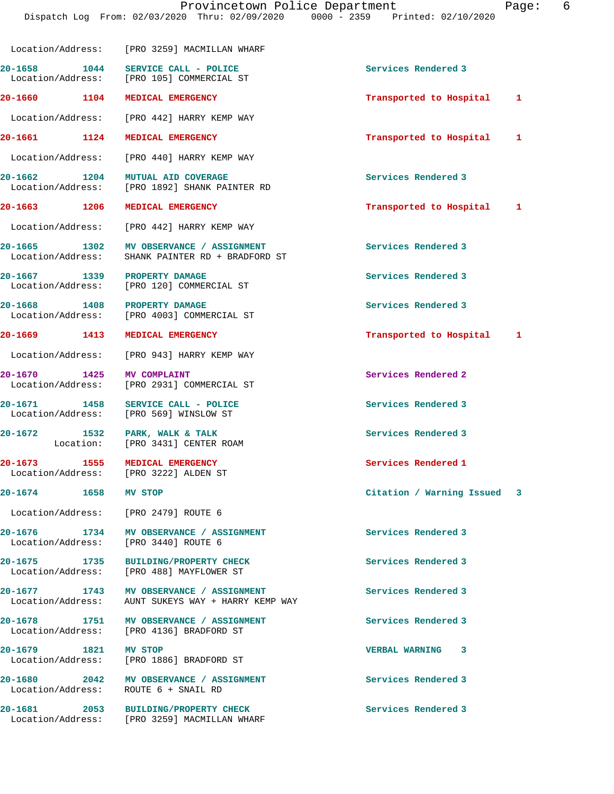|                                      | Location/Address: [PRO 3259] MACMILLAN WHARF                                                  |                             |  |
|--------------------------------------|-----------------------------------------------------------------------------------------------|-----------------------------|--|
|                                      | 20-1658 1044 SERVICE CALL - POLICE<br>Location/Address: [PRO 105] COMMERCIAL ST               | Services Rendered 3         |  |
| 20-1660 1104 MEDICAL EMERGENCY       |                                                                                               | Transported to Hospital 1   |  |
|                                      | Location/Address: [PRO 442] HARRY KEMP WAY                                                    |                             |  |
|                                      | 20-1661 1124 MEDICAL EMERGENCY                                                                | Transported to Hospital 1   |  |
|                                      | Location/Address: [PRO 440] HARRY KEMP WAY                                                    |                             |  |
|                                      | 20-1662 1204 MUTUAL AID COVERAGE<br>Location/Address: [PRO 1892] SHANK PAINTER RD             | Services Rendered 3         |  |
| 20-1663 1206                         | MEDICAL EMERGENCY                                                                             | Transported to Hospital 1   |  |
|                                      | Location/Address: [PRO 442] HARRY KEMP WAY                                                    |                             |  |
| 20-1665 1302<br>Location/Address:    | MV OBSERVANCE / ASSIGNMENT<br>SHANK PAINTER RD + BRADFORD ST                                  | Services Rendered 3         |  |
| 20-1667 1339 PROPERTY DAMAGE         | Location/Address: [PRO 120] COMMERCIAL ST                                                     | Services Rendered 3         |  |
| 20-1668 1408 PROPERTY DAMAGE         | Location/Address: [PRO 4003] COMMERCIAL ST                                                    | Services Rendered 3         |  |
| 20-1669 1413 MEDICAL EMERGENCY       |                                                                                               | Transported to Hospital 1   |  |
|                                      | Location/Address: [PRO 943] HARRY KEMP WAY                                                    |                             |  |
|                                      | 20-1670 1425 MV COMPLAINT<br>Location/Address: [PRO 2931] COMMERCIAL ST                       | Services Rendered 2         |  |
| 20-1671 1458                         | SERVICE CALL - POLICE<br>Location/Address: [PRO 569] WINSLOW ST                               | Services Rendered 3         |  |
|                                      | 20-1672 1532 PARK, WALK & TALK<br>Location: [PRO 3431] CENTER ROAM                            | Services Rendered 3         |  |
| 20-1673 1555 MEDICAL EMERGENCY       | Location/Address: [PRO 3222] ALDEN ST                                                         | Services Rendered 1         |  |
| 20-1674<br>1658                      | MV STOP                                                                                       | Citation / Warning Issued 3 |  |
| Location/Address: [PRO 2479] ROUTE 6 |                                                                                               |                             |  |
|                                      | 20-1676 1734 MV OBSERVANCE / ASSIGNMENT<br>Location/Address: [PRO 3440] ROUTE 6               | Services Rendered 3         |  |
|                                      | 20-1675 1735 BUILDING/PROPERTY CHECK<br>Location/Address: [PRO 488] MAYFLOWER ST              | Services Rendered 3         |  |
|                                      | 20-1677 1743 MV OBSERVANCE / ASSIGNMENT<br>Location/Address: AUNT SUKEYS WAY + HARRY KEMP WAY | Services Rendered 3         |  |
|                                      | 20-1678 1751 MV OBSERVANCE / ASSIGNMENT<br>Location/Address: [PRO 4136] BRADFORD ST           | Services Rendered 3         |  |
| 20-1679 1821                         | MV STOP<br>Location/Address: [PRO 1886] BRADFORD ST                                           | <b>VERBAL WARNING 3</b>     |  |
|                                      | 20-1680 2042 MV OBSERVANCE / ASSIGNMENT<br>Location/Address: ROUTE 6 + SNAIL RD               | Services Rendered 3         |  |
| 20-1681                              | 2053 BUILDING/PROPERTY CHECK<br>Location/Address: [PRO 3259] MACMILLAN WHARF                  | Services Rendered 3         |  |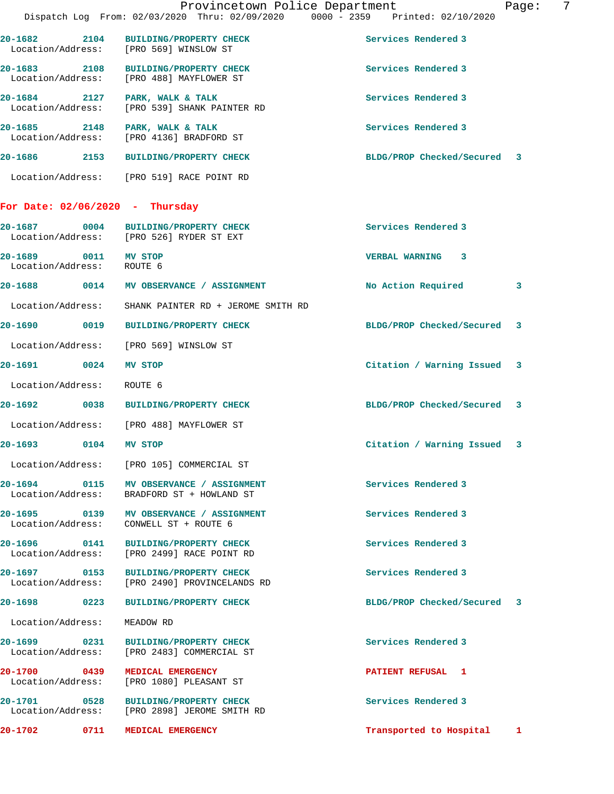|                                           |      | Provincetown Police Department<br>Dispatch Log From: 02/03/2020 Thru: 02/09/2020 0000 - 2359 Printed: 02/10/2020 |                             | Page: | 7 |
|-------------------------------------------|------|------------------------------------------------------------------------------------------------------------------|-----------------------------|-------|---|
|                                           |      | 20-1682 2104 BUILDING/PROPERTY CHECK<br>Location/Address: [PRO 569] WINSLOW ST                                   | Services Rendered 3         |       |   |
| 20-1683 2108                              |      | BUILDING/PROPERTY CHECK<br>Location/Address: [PRO 488] MAYFLOWER ST                                              | Services Rendered 3         |       |   |
|                                           |      | 20-1684 2127 PARK, WALK & TALK<br>Location/Address: [PRO 539] SHANK PAINTER RD                                   | Services Rendered 3         |       |   |
|                                           |      | 20-1685 2148 PARK, WALK & TALK<br>Location/Address: [PRO 4136] BRADFORD ST                                       | Services Rendered 3         |       |   |
|                                           |      | 20-1686 2153 BUILDING/PROPERTY CHECK                                                                             | BLDG/PROP Checked/Secured 3 |       |   |
|                                           |      | Location/Address: [PRO 519] RACE POINT RD                                                                        |                             |       |   |
|                                           |      | For Date: $02/06/2020 - \text{Thursday}$                                                                         |                             |       |   |
|                                           |      | 20-1687 0004 BUILDING/PROPERTY CHECK<br>Location/Address: [PRO 526] RYDER ST EXT                                 | Services Rendered 3         |       |   |
| 20-1689 0011 MV STOP<br>Location/Address: |      | ROUTE 6                                                                                                          | VERBAL WARNING 3            |       |   |
|                                           |      | 20-1688 0014 MV OBSERVANCE / ASSIGNMENT                                                                          | No Action Required          | 3     |   |
| Location/Address:                         |      | SHANK PAINTER RD + JEROME SMITH RD                                                                               |                             |       |   |
| 20-1690 0019                              |      | <b>BUILDING/PROPERTY CHECK</b>                                                                                   | BLDG/PROP Checked/Secured   | 3     |   |
|                                           |      | Location/Address: [PRO 569] WINSLOW ST                                                                           |                             |       |   |
| 20-1691 0024                              |      | <b>MV STOP</b>                                                                                                   | Citation / Warning Issued   | 3     |   |
| Location/Address:                         |      | ROUTE 6                                                                                                          |                             |       |   |
|                                           |      | 20-1692 0038 BUILDING/PROPERTY CHECK                                                                             | BLDG/PROP Checked/Secured 3 |       |   |
|                                           |      | Location/Address: [PRO 488] MAYFLOWER ST                                                                         |                             |       |   |
| 20-1693                                   | 0104 | MV STOP                                                                                                          | Citation / Warning Issued 3 |       |   |
|                                           |      | Location/Address: [PRO 105] COMMERCIAL ST                                                                        |                             |       |   |
| Location/Address:                         |      | 20-1694 0115 MV OBSERVANCE / ASSIGNMENT<br>BRADFORD ST + HOWLAND ST                                              | Services Rendered 3         |       |   |
|                                           |      | 20-1695 0139 MV OBSERVANCE / ASSIGNMENT<br>Location/Address: CONWELL ST + ROUTE 6                                | Services Rendered 3         |       |   |
| 20-1696 0141<br>Location/Address:         |      | BUILDING/PROPERTY CHECK<br>[PRO 2499] RACE POINT RD                                                              | Services Rendered 3         |       |   |
|                                           |      | 20-1697 0153 BUILDING/PROPERTY CHECK<br>Location/Address: [PRO 2490] PROVINCELANDS RD                            | Services Rendered 3         |       |   |
| 20-1698 0223                              |      | <b>BUILDING/PROPERTY CHECK</b>                                                                                   | BLDG/PROP Checked/Secured 3 |       |   |
| Location/Address:                         |      | MEADOW RD                                                                                                        |                             |       |   |
|                                           |      | 20-1699 0231 BUILDING/PROPERTY CHECK<br>Location/Address: [PRO 2483] COMMERCIAL ST                               | Services Rendered 3         |       |   |
| Location/Address:                         |      | 20-1700 0439 MEDICAL EMERGENCY<br>[PRO 1080] PLEASANT ST                                                         | PATIENT REFUSAL 1           |       |   |
|                                           |      | 20-1701 0528 BUILDING/PROPERTY CHECK<br>Location/Address: [PRO 2898] JEROME SMITH RD                             | Services Rendered 3         |       |   |
| 20-1702                                   | 0711 | MEDICAL EMERGENCY                                                                                                | Transported to Hospital     | 1     |   |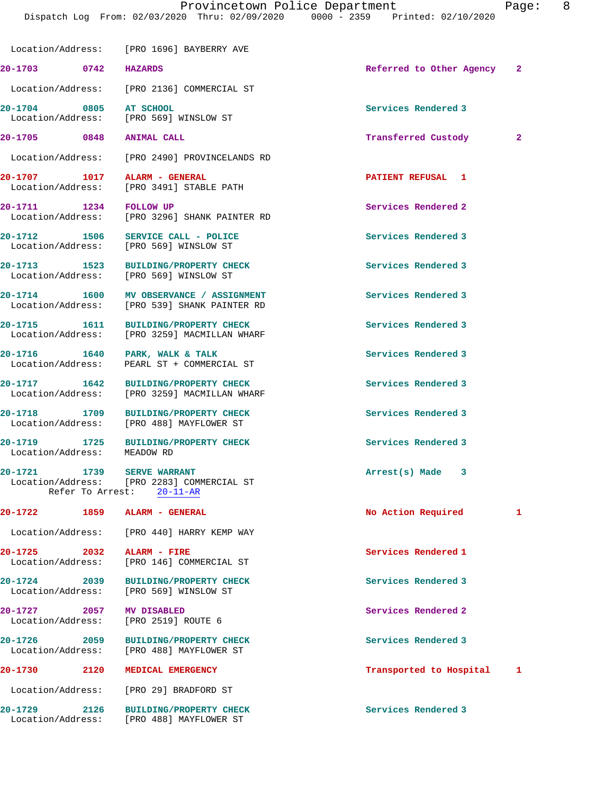|                                   |                  | Location/Address: [PRO 1696] BAYBERRY AVE                                         |                          |              |
|-----------------------------------|------------------|-----------------------------------------------------------------------------------|--------------------------|--------------|
| 20-1703 0742                      |                  | <b>HAZARDS</b>                                                                    | Referred to Other Agency | -2           |
|                                   |                  | Location/Address: [PRO 2136] COMMERCIAL ST                                        |                          |              |
| 20-1704 0805 AT SCHOOL            |                  | Location/Address: [PRO 569] WINSLOW ST                                            | Services Rendered 3      |              |
| 20-1705 0848                      |                  | <b>ANIMAL CALL</b>                                                                | Transferred Custody      | $\mathbf{2}$ |
|                                   |                  | Location/Address: [PRO 2490] PROVINCELANDS RD                                     |                          |              |
| 20-1707 1017<br>Location/Address: |                  | ALARM - GENERAL<br>[PRO 3491] STABLE PATH                                         | PATIENT REFUSAL 1        |              |
| 20-1711 1234                      |                  | <b>FOLLOW UP</b><br>Location/Address: [PRO 3296] SHANK PAINTER RD                 | Services Rendered 2      |              |
|                                   |                  | 20-1712 1506 SERVICE CALL - POLICE<br>Location/Address: [PRO 569] WINSLOW ST      | Services Rendered 3      |              |
|                                   |                  | 20-1713 1523 BUILDING/PROPERTY CHECK<br>Location/Address: [PRO 569] WINSLOW ST    | Services Rendered 3      |              |
| 20-1714 1600                      |                  | <b>MV OBSERVANCE / ASSIGNMENT</b><br>Location/Address: [PRO 539] SHANK PAINTER RD | Services Rendered 3      |              |
| 20-1715 1611                      |                  | BUILDING/PROPERTY CHECK<br>Location/Address: [PRO 3259] MACMILLAN WHARF           | Services Rendered 3      |              |
| 20-1716 1640<br>Location/Address: |                  | PARK, WALK & TALK<br>PEARL ST + COMMERCIAL ST                                     | Services Rendered 3      |              |
| 20-1717 1642<br>Location/Address: |                  | BUILDING/PROPERTY CHECK<br>[PRO 3259] MACMILLAN WHARF                             | Services Rendered 3      |              |
| 20-1718 1709<br>Location/Address: |                  | <b>BUILDING/PROPERTY CHECK</b><br>[PRO 488] MAYFLOWER ST                          | Services Rendered 3      |              |
| 20-1719 1725<br>Location/Address: |                  | <b>BUILDING/PROPERTY CHECK</b><br>MEADOW RD                                       | Services Rendered 3      |              |
| 20-1721 1739<br>Location/Address: |                  | <b>SERVE WARRANT</b><br>[PRO 2283] COMMERCIAL ST                                  | Arrest(s) Made 3         |              |
| $20 - 1722$                       | Refer To Arrest: | $20 - 11 - AR$                                                                    |                          |              |
|                                   | 1859             | ALARM - GENERAL                                                                   | No Action Required       | 1            |
| Location/Address:                 |                  | [PRO 440] HARRY KEMP WAY                                                          |                          |              |
| $20 - 1725$<br>Location/Address:  | 2032             | ALARM - FIRE<br>[PRO 146] COMMERCIAL ST                                           | Services Rendered 1      |              |
| 20-1724 2039<br>Location/Address: |                  | <b>BUILDING/PROPERTY CHECK</b><br>[PRO 569] WINSLOW ST                            | Services Rendered 3      |              |
| 20-1727 2057<br>Location/Address: |                  | MV DISABLED<br>[PRO 2519] ROUTE 6                                                 | Services Rendered 2      |              |
| $20 - 1726$<br>Location/Address:  | 2059             | <b>BUILDING/PROPERTY CHECK</b><br>[PRO 488] MAYFLOWER ST                          | Services Rendered 3      |              |
| $20 - 1730$                       | 2120             | MEDICAL EMERGENCY                                                                 | Transported to Hospital  | 1            |
| Location/Address:                 |                  | [PRO 29] BRADFORD ST                                                              |                          |              |
| 20-1729<br>Location/Address:      | 2126             | <b>BUILDING/PROPERTY CHECK</b><br>[PRO 488] MAYFLOWER ST                          | Services Rendered 3      |              |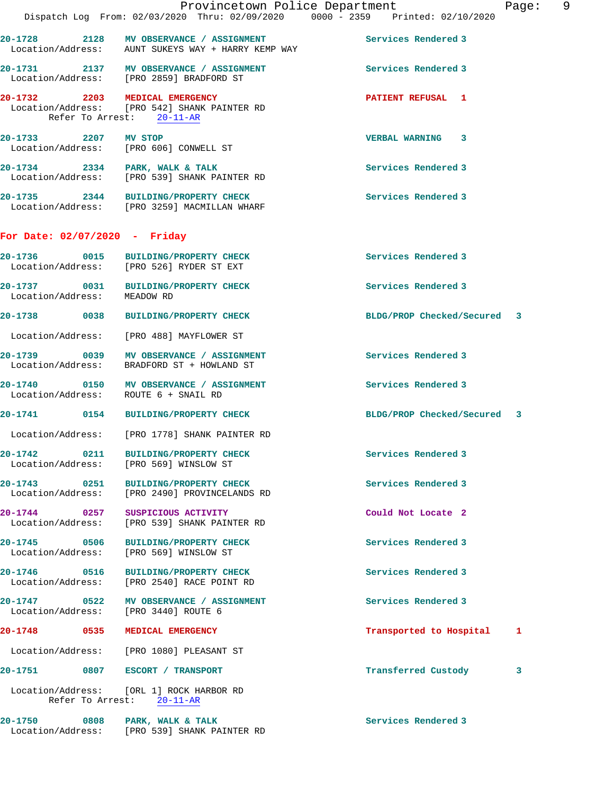|                                   | Dispatch Log From: 02/03/2020 Thru: 02/09/2020 0000 - 2359 Printed: 02/10/2020                              | Provincetown Police Department<br>Page: 9 |  |
|-----------------------------------|-------------------------------------------------------------------------------------------------------------|-------------------------------------------|--|
|                                   | 20-1728 2128 MV OBSERVANCE / ASSIGNMENT<br>Location/Address: AUNT SUKEYS WAY + HARRY KEMP WAY               | Services Rendered 3                       |  |
|                                   | 20-1731 2137 MV OBSERVANCE / ASSIGNMENT<br>Location/Address: [PRO 2859] BRADFORD ST                         | Services Rendered 3                       |  |
|                                   | 20-1732 2203 MEDICAL EMERGENCY<br>Location/Address: [PRO 542] SHANK PAINTER RD<br>Refer To Arrest: 20-11-AR | <b>PATIENT REFUSAL 1</b>                  |  |
|                                   | 20-1733 2207 MV STOP<br>Location/Address: [PRO 606] CONWELL ST                                              | VERBAL WARNING 3                          |  |
|                                   | 20-1734 2334 PARK, WALK & TALK<br>Location/Address: [PRO 539] SHANK PAINTER RD                              | Services Rendered 3                       |  |
|                                   | 20-1735 2344 BUILDING/PROPERTY CHECK<br>Location/Address: [PRO 3259] MACMILLAN WHARF                        | Services Rendered 3                       |  |
| For Date: $02/07/2020$ - Friday   |                                                                                                             |                                           |  |
|                                   | 20-1736 0015 BUILDING/PROPERTY CHECK<br>Location/Address: [PRO 526] RYDER ST EXT                            | Services Rendered 3                       |  |
| Location/Address: MEADOW RD       | 20-1737 0031 BUILDING/PROPERTY CHECK                                                                        | Services Rendered 3                       |  |
|                                   | 20-1738 0038 BUILDING/PROPERTY CHECK                                                                        | BLDG/PROP Checked/Secured 3               |  |
|                                   | Location/Address: [PRO 488] MAYFLOWER ST                                                                    |                                           |  |
|                                   | 20-1739 0039 MV OBSERVANCE / ASSIGNMENT<br>Location/Address: BRADFORD ST + HOWLAND ST                       | Services Rendered 3                       |  |
|                                   | 20-1740 0150 MV OBSERVANCE / ASSIGNMENT<br>Location/Address: ROUTE 6 + SNAIL RD                             | Services Rendered 3                       |  |
|                                   | 20-1741 0154 BUILDING/PROPERTY CHECK                                                                        | BLDG/PROP Checked/Secured 3               |  |
|                                   | Location/Address: [PRO 1778] SHANK PAINTER RD                                                               |                                           |  |
|                                   | 20-1742 0211 BUILDING/PROPERTY CHECK<br>Location/Address: [PRO 569] WINSLOW ST                              | Services Rendered 3                       |  |
|                                   | 20-1743 0251 BUILDING/PROPERTY CHECK<br>Location/Address: [PRO 2490] PROVINCELANDS RD                       | Services Rendered 3                       |  |
|                                   | 20-1744 0257 SUSPICIOUS ACTIVITY<br>Location/Address: [PRO 539] SHANK PAINTER RD                            | Could Not Locate 2                        |  |
| 20-1745 0506<br>Location/Address: | <b>BUILDING/PROPERTY CHECK</b><br>[PRO 569] WINSLOW ST                                                      | Services Rendered 3                       |  |
|                                   | Location/Address: [PRO 2540] RACE POINT RD                                                                  | Services Rendered 3                       |  |
|                                   | 20-1747 0522 MV OBSERVANCE / ASSIGNMENT<br>Location/Address: [PRO 3440] ROUTE 6                             | Services Rendered 3                       |  |
|                                   | 20-1748 0535 MEDICAL EMERGENCY                                                                              | Transported to Hospital 1                 |  |
|                                   | Location/Address: [PRO 1080] PLEASANT ST                                                                    |                                           |  |
|                                   | 20-1751 0807 ESCORT / TRANSPORT                                                                             | Transferred Custody<br>3                  |  |
|                                   | Location/Address: [ORL 1] ROCK HARBOR RD<br>Refer To Arrest: 20-11-AR                                       |                                           |  |
|                                   | 20-1750 0808 PARK, WALK & TALK                                                                              | Services Rendered 3                       |  |

Location/Address: [PRO 539] SHANK PAINTER RD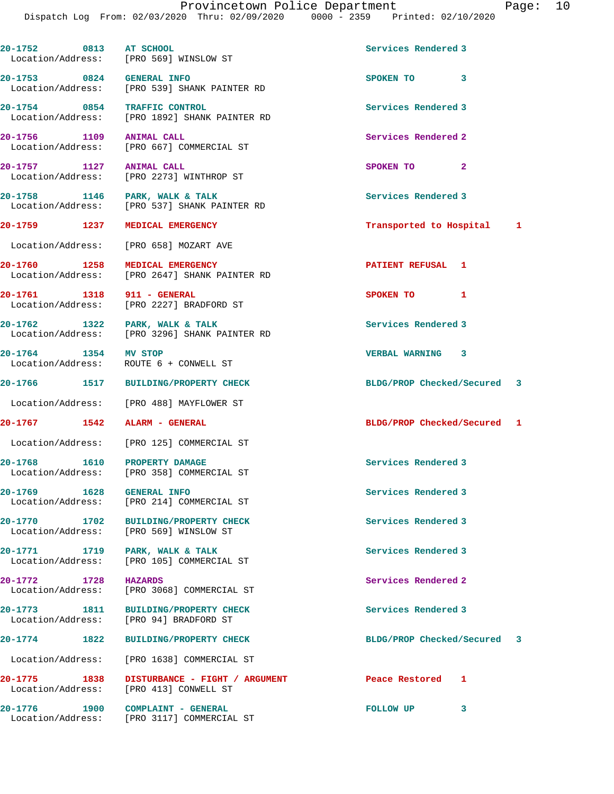|                                   |      | 20-1752 0813 AT SCHOOL<br>Location/Address: [PRO 569] WINSLOW ST                | Services Rendered 3         |   |  |
|-----------------------------------|------|---------------------------------------------------------------------------------|-----------------------------|---|--|
| 20-1753 0824 GENERAL INFO         |      | Location/Address: [PRO 539] SHANK PAINTER RD                                    | SPOKEN TO 3                 |   |  |
| 20-1754 0854 TRAFFIC CONTROL      |      | Location/Address: [PRO 1892] SHANK PAINTER RD                                   | Services Rendered 3         |   |  |
| 20-1756 1109 ANIMAL CALL          |      | Location/Address: [PRO 667] COMMERCIAL ST                                       | Services Rendered 2         |   |  |
| 20-1757 1127 ANIMAL CALL          |      | Location/Address: [PRO 2273] WINTHROP ST                                        | SPOKEN TO 2                 |   |  |
|                                   |      | 20-1758 1146 PARK, WALK & TALK<br>Location/Address: [PRO 537] SHANK PAINTER RD  | Services Rendered 3         |   |  |
|                                   |      | 20-1759 1237 MEDICAL EMERGENCY                                                  | Transported to Hospital 1   |   |  |
|                                   |      | Location/Address: [PRO 658] MOZART AVE                                          |                             |   |  |
|                                   |      | 20-1760 1258 MEDICAL EMERGENCY<br>Location/Address: [PRO 2647] SHANK PAINTER RD | PATIENT REFUSAL 1           |   |  |
| 20-1761 1318 911 - GENERAL        |      | Location/Address: [PRO 2227] BRADFORD ST                                        | SPOKEN TO 1                 |   |  |
|                                   |      | 20-1762 1322 PARK, WALK & TALK<br>Location/Address: [PRO 3296] SHANK PAINTER RD | Services Rendered 3         |   |  |
| 20-1764 1354 MV STOP              |      | Location/Address: ROUTE 6 + CONWELL ST                                          | VERBAL WARNING 3            |   |  |
|                                   |      | 20-1766 1517 BUILDING/PROPERTY CHECK                                            | BLDG/PROP Checked/Secured 3 |   |  |
|                                   |      | Location/Address: [PRO 488] MAYFLOWER ST                                        |                             |   |  |
| 20-1767   1542   ALARM - GENERAL  |      |                                                                                 | BLDG/PROP Checked/Secured 1 |   |  |
|                                   |      | Location/Address: [PRO 125] COMMERCIAL ST                                       |                             |   |  |
| 20-1768 1610 PROPERTY DAMAGE      |      | Location/Address: [PRO 358] COMMERCIAL ST                                       | Services Rendered 3         |   |  |
| 20-1769 2014<br>Location/Address: | 1628 | <b>GENERAL INFO</b><br>[PRO 214] COMMERCIAL ST                                  | Services Rendered 3         |   |  |
|                                   |      | 20-1770 1702 BUILDING/PROPERTY CHECK<br>Location/Address: [PRO 569] WINSLOW ST  | Services Rendered 3         |   |  |
| 20-1771 1719<br>Location/Address: |      | PARK, WALK & TALK<br>[PRO 105] COMMERCIAL ST                                    | Services Rendered 3         |   |  |
| 20-1772 1728<br>Location/Address: |      | <b>HAZARDS</b><br>[PRO 3068] COMMERCIAL ST                                      | Services Rendered 2         |   |  |
| 20-1773 1811<br>Location/Address: |      | <b>BUILDING/PROPERTY CHECK</b><br>[PRO 94] BRADFORD ST                          | Services Rendered 3         |   |  |
| 20-1774 1822                      |      | <b>BUILDING/PROPERTY CHECK</b>                                                  | BLDG/PROP Checked/Secured 3 |   |  |
| Location/Address:                 |      | [PRO 1638] COMMERCIAL ST                                                        |                             |   |  |
| 20-1775 1838                      |      | DISTURBANCE - FIGHT / ARGUMENT<br>Location/Address: [PRO 413] CONWELL ST        | Peace Restored              | 1 |  |
| 20-1776 1900                      |      | COMPLAINT - GENERAL<br>Location/Address: [PRO 3117] COMMERCIAL ST               | FOLLOW UP                   | 3 |  |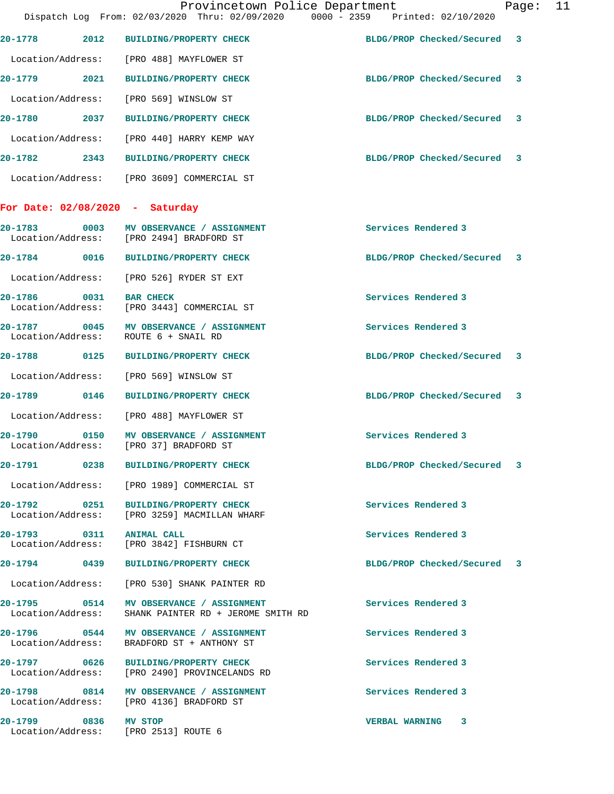|                                   |      | Provincetown Police Department<br>Dispatch Log From: 02/03/2020 Thru: 02/09/2020 0000 - 2359 Printed: 02/10/2020 |                             | Page: 11 |  |
|-----------------------------------|------|------------------------------------------------------------------------------------------------------------------|-----------------------------|----------|--|
|                                   |      | 20-1778 2012 BUILDING/PROPERTY CHECK                                                                             | BLDG/PROP Checked/Secured 3 |          |  |
|                                   |      | Location/Address: [PRO 488] MAYFLOWER ST                                                                         |                             |          |  |
|                                   |      | 20-1779 2021 BUILDING/PROPERTY CHECK                                                                             | BLDG/PROP Checked/Secured 3 |          |  |
|                                   |      | Location/Address: [PRO 569] WINSLOW ST                                                                           |                             |          |  |
|                                   |      | 20-1780 2037 BUILDING/PROPERTY CHECK                                                                             | BLDG/PROP Checked/Secured 3 |          |  |
|                                   |      | Location/Address: [PRO 440] HARRY KEMP WAY                                                                       |                             |          |  |
|                                   |      | 20-1782 2343 BUILDING/PROPERTY CHECK                                                                             | BLDG/PROP Checked/Secured 3 |          |  |
|                                   |      | Location/Address: [PRO 3609] COMMERCIAL ST                                                                       |                             |          |  |
|                                   |      | For Date: $02/08/2020 - Saturday$                                                                                |                             |          |  |
|                                   |      | 20-1783 0003 MV OBSERVANCE / ASSIGNMENT<br>Location/Address: [PRO 2494] BRADFORD ST                              | Services Rendered 3         |          |  |
|                                   |      | 20-1784 0016 BUILDING/PROPERTY CHECK                                                                             | BLDG/PROP Checked/Secured 3 |          |  |
|                                   |      | Location/Address: [PRO 526] RYDER ST EXT                                                                         |                             |          |  |
| 20-1786                           | 0031 | <b>BAR CHECK</b><br>Location/Address: [PRO 3443] COMMERCIAL ST                                                   | Services Rendered 3         |          |  |
|                                   |      | 20-1787 0045 MV OBSERVANCE / ASSIGNMENT<br>Location/Address: ROUTE 6 + SNAIL RD                                  | Services Rendered 3         |          |  |
|                                   |      | 20-1788 0125 BUILDING/PROPERTY CHECK                                                                             | BLDG/PROP Checked/Secured 3 |          |  |
|                                   |      | Location/Address: [PRO 569] WINSLOW ST                                                                           |                             |          |  |
|                                   |      | 20-1789 0146 BUILDING/PROPERTY CHECK                                                                             | BLDG/PROP Checked/Secured 3 |          |  |
|                                   |      | Location/Address: [PRO 488] MAYFLOWER ST                                                                         |                             |          |  |
|                                   |      | 20-1790 0150 MV OBSERVANCE / ASSIGNMENT<br>Location/Address: [PRO 37] BRADFORD ST                                | Services Rendered 3         |          |  |
|                                   |      | 20-1791 0238 BUILDING/PROPERTY CHECK                                                                             | BLDG/PROP Checked/Secured 3 |          |  |
|                                   |      | Location/Address: [PRO 1989] COMMERCIAL ST                                                                       |                             |          |  |
| Location/Address:                 |      | 20-1792 0251 BUILDING/PROPERTY CHECK<br>[PRO 3259] MACMILLAN WHARF                                               | Services Rendered 3         |          |  |
|                                   |      | 20-1793 0311 ANIMAL CALL<br>Location/Address: [PRO 3842] FISHBURN CT                                             | Services Rendered 3         |          |  |
|                                   |      | 20-1794 0439 BUILDING/PROPERTY CHECK                                                                             | BLDG/PROP Checked/Secured 3 |          |  |
|                                   |      | Location/Address: [PRO 530] SHANK PAINTER RD                                                                     |                             |          |  |
| 20-1795 0514<br>Location/Address: |      | MV OBSERVANCE / ASSIGNMENT<br>SHANK PAINTER RD + JEROME SMITH RD                                                 | Services Rendered 3         |          |  |
|                                   |      | 20-1796 0544 MV OBSERVANCE / ASSIGNMENT<br>Location/Address: BRADFORD ST + ANTHONY ST                            | Services Rendered 3         |          |  |
| 20-1797 0626<br>Location/Address: |      | <b>BUILDING/PROPERTY CHECK</b><br>[PRO 2490] PROVINCELANDS RD                                                    | Services Rendered 3         |          |  |
|                                   |      | 20-1798 0814 MV OBSERVANCE / ASSIGNMENT<br>Location/Address: [PRO 4136] BRADFORD ST                              | Services Rendered 3         |          |  |
| 20-1799 0836 MV STOP              |      | Location/Address: [PRO 2513] ROUTE 6                                                                             | VERBAL WARNING 3            |          |  |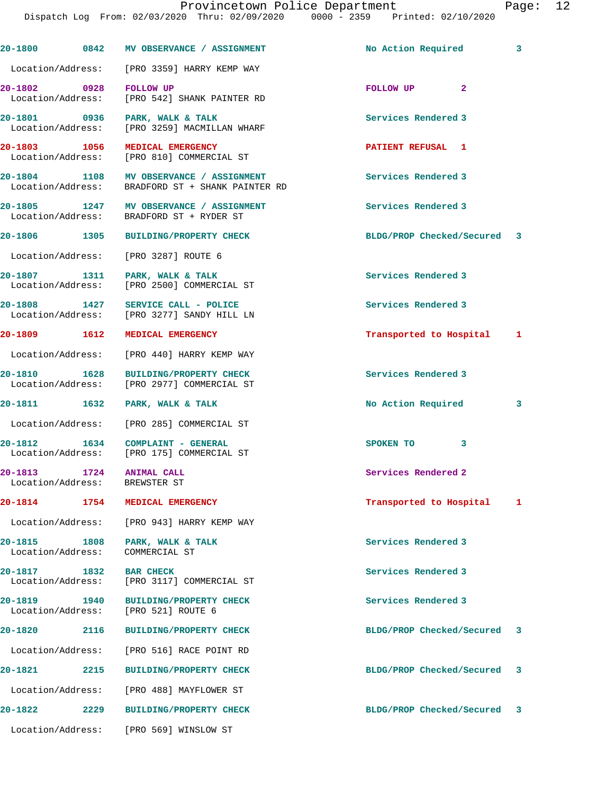|                                               |      | 20-1800 0842 MV OBSERVANCE / ASSIGNMENT                                                     | No Action Required          | 3 |
|-----------------------------------------------|------|---------------------------------------------------------------------------------------------|-----------------------------|---|
|                                               |      | Location/Address: [PRO 3359] HARRY KEMP WAY                                                 |                             |   |
|                                               |      | Location/Address: [PRO 542] SHANK PAINTER RD                                                | FOLLOW UP <sub>2</sub>      |   |
|                                               |      | 20-1801 0936 PARK, WALK & TALK<br>Location/Address: [PRO 3259] MACMILLAN WHARF              | Services Rendered 3         |   |
| 20-1803 1056                                  |      | MEDICAL EMERGENCY<br>Location/Address: [PRO 810] COMMERCIAL ST                              | <b>PATIENT REFUSAL 1</b>    |   |
|                                               |      | 20-1804 1108 MV OBSERVANCE / ASSIGNMENT<br>Location/Address: BRADFORD ST + SHANK PAINTER RD | Services Rendered 3         |   |
|                                               |      | 20-1805 1247 MV OBSERVANCE / ASSIGNMENT<br>Location/Address: BRADFORD ST + RYDER ST         | Services Rendered 3         |   |
|                                               |      | 20-1806 1305 BUILDING/PROPERTY CHECK                                                        | BLDG/PROP Checked/Secured 3 |   |
|                                               |      | Location/Address: [PRO 3287] ROUTE 6                                                        |                             |   |
| 20-1807 1311                                  |      | PARK, WALK & TALK<br>Location/Address: [PRO 2500] COMMERCIAL ST                             | Services Rendered 3         |   |
|                                               |      | 20-1808 1427 SERVICE CALL - POLICE<br>Location/Address: [PRO 3277] SANDY HILL LN            | Services Rendered 3         |   |
|                                               |      | 20-1809 1612 MEDICAL EMERGENCY                                                              | Transported to Hospital 1   |   |
|                                               |      | Location/Address: [PRO 440] HARRY KEMP WAY                                                  |                             |   |
| 20-1810 1628                                  |      | <b>BUILDING/PROPERTY CHECK</b><br>Location/Address: [PRO 2977] COMMERCIAL ST                | Services Rendered 3         |   |
|                                               |      | 20-1811 1632 PARK, WALK & TALK                                                              | No Action Required          | 3 |
|                                               |      | Location/Address: [PRO 285] COMMERCIAL ST                                                   |                             |   |
|                                               |      | 20-1812 1634 COMPLAINT - GENERAL<br>Location/Address: [PRO 175] COMMERCIAL ST               | SPOKEN TO<br>3              |   |
| 20-1813 1724 ANIMAL CALL<br>Location/Address: |      | BREWSTER ST                                                                                 | Services Rendered 2         |   |
|                                               |      | 20-1814 1754 MEDICAL EMERGENCY                                                              | Transported to Hospital 1   |   |
|                                               |      | Location/Address: [PRO 943] HARRY KEMP WAY                                                  |                             |   |
| 20-1815 1808<br>Location/Address:             |      | PARK, WALK & TALK<br>COMMERCIAL ST                                                          | Services Rendered 3         |   |
| 20-1817 1832<br>Location/Address:             |      | <b>BAR CHECK</b><br>[PRO 3117] COMMERCIAL ST                                                | Services Rendered 3         |   |
| 20-1819 1940<br>Location/Address:             |      | <b>BUILDING/PROPERTY CHECK</b><br>[PRO 521] ROUTE 6                                         | Services Rendered 3         |   |
| 20-1820 20                                    | 2116 | <b>BUILDING/PROPERTY CHECK</b>                                                              | BLDG/PROP Checked/Secured   | 3 |
| Location/Address:                             |      | [PRO 516] RACE POINT RD                                                                     |                             |   |
| 20-1821                                       | 2215 | <b>BUILDING/PROPERTY CHECK</b>                                                              | BLDG/PROP Checked/Secured   | 3 |
| Location/Address:                             |      | [PRO 488] MAYFLOWER ST                                                                      |                             |   |
| 20-1822                                       | 2229 | <b>BUILDING/PROPERTY CHECK</b>                                                              | BLDG/PROP Checked/Secured 3 |   |
| Location/Address:                             |      | [PRO 569] WINSLOW ST                                                                        |                             |   |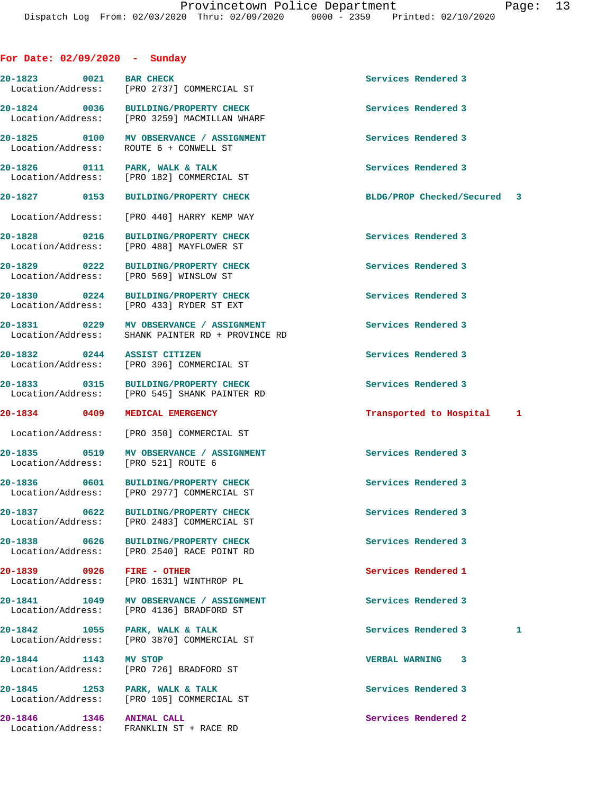## **For Date: 02/09/2020 - Sunday**

**20-1823 0021 BAR CHECK Services Rendered 3**  Location/Address: [PRO 2737] COMMERCIAL ST **20-1824 0036 BUILDING/PROPERTY CHECK Services Rendered 3**  Location/Address: [PRO 3259] MACMILLAN WHARF **20-1825 0100 MV OBSERVANCE / ASSIGNMENT Services Rendered 3**  ROUTE 6 + CONWELL ST **20-1826 0111 PARK, WALK & TALK Services Rendered 3**  Location/Address: [PRO 182] COMMERCIAL ST **20-1827 0153 BUILDING/PROPERTY CHECK BLDG/PROP Checked/Secured 3**

Location/Address: [PRO 440] HARRY KEMP WAY

**20-1828 0216 BUILDING/PROPERTY CHECK Services Rendered 3**  Location/Address: [PRO 488] MAYFLOWER ST

**20-1829 0222 BUILDING/PROPERTY CHECK Services Rendered 3**  Location/Address: [PRO 569] WINSLOW ST

**20-1830 0224 BUILDING/PROPERTY CHECK Services Rendered 3**  Location/Address: [PRO 433] RYDER ST EXT

**20-1831 0229 MV OBSERVANCE / ASSIGNMENT Services Rendered 3**  Location/Address: SHANK PAINTER RD + PROVINCE RD

**20-1832 0244 ASSIST CITIZEN Services Rendered 3**  Location/Address: [PRO 396] COMMERCIAL ST

**20-1833 0315 BUILDING/PROPERTY CHECK Services Rendered 3**  Location/Address: [PRO 545] SHANK PAINTER RD

Location/Address: [PRO 350] COMMERCIAL ST

**20-1835 0519 MV OBSERVANCE / ASSIGNMENT Services Rendered 3**  Location/Address: [PRO 521] ROUTE 6

20-1836 0601 BUILDING/PROPERTY CHECK Services Rendered 3 Location/Address: [PRO 2977] COMMERCIAL ST

**20-1837** 0622 BUILDING/PROPERTY CHECK Services Rendered 3<br>
Location/Address: [PRO 2483] COMMERCIAL ST Location/Address: [PRO 2483] COMMERCIAL ST

**20-1838 0626 BUILDING/PROPERTY CHECK Services Rendered 3**  Location/Address: [PRO 2540] RACE POINT RD

**20-1839 0926 FIRE - OTHER Services Rendered 1**  Location/Address: [PRO 1631] WINTHROP PL

**20-1841 1049 MV OBSERVANCE / ASSIGNMENT Services Rendered 3**  Location/Address: [PRO 4136] BRADFORD ST

20-1842 1055 PARK, WALK & TALK **Services Rendered 3** 1 Location/Address: [PRO 3870] COMMERCIAL ST

**20-1844 1143 MV STOP VERBAL WARNING 3**  [PRO 726] BRADFORD ST

**20-1845 1253 PARK, WALK & TALK Services Rendered 3**  Location/Address: [PRO 105] COMMERCIAL ST

**20-1846 1346 ANIMAL CALL Services Rendered 2**  Location/Address: FRANKLIN ST + RACE RD

## **20-1834 0409 MEDICAL EMERGENCY Transported to Hospital 1**